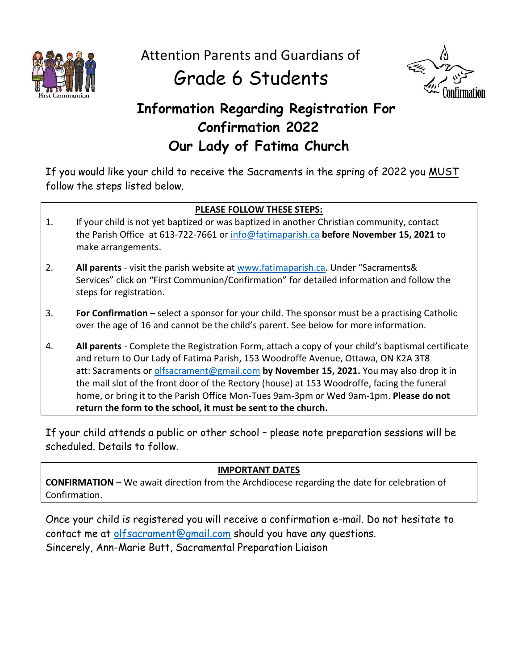

Attention Parents and Guardians of

## Grade 6 Students



### **Information Regarding Registration For Confirmation 2022 Our Lady of Fatima Church**

If you would like your child to receive the Sacraments in the spring of 2022 you MUST follow the steps listed below.

#### **PLEASE FOLLOW THESE STEPS:**

- 1. If your child is not yet baptized or was baptized in another Christian community, contact the Parish Office at 613-722-7661 or [info@fatimaparish.ca](mailto:info@fatimaparish.ca) **before November 15, 2021** to make arrangements.
- 2. **All parents** visit the parish website at [www.fatimaparish.ca](http://www.fatimaparish.ca/). Under "Sacraments& Services" click on "First Communion/Confirmation" for detailed information and follow the steps for registration.
- 3. **For Confirmation** select a sponsor for your child. The sponsor must be a practising Catholic over the age of 16 and cannot be the child's parent. See below for more information.
- 4. **All parents** Complete the Registration Form, attach a copy of your child's baptismal certificate and return to Our Lady of Fatima Parish, 153 Woodroffe Avenue, Ottawa, ON K2A 3T8 att: Sacraments or [olfsacrament@gmail.com](mailto:olfsacrament@gmail.com) **by November 15, 2021.** You may also drop it in the mail slot of the front door of the Rectory (house) at 153 Woodroffe, facing the funeral home, or bring it to the Parish Office Mon-Tues 9am-3pm or Wed 9am-1pm. **Please do not return the form to the school, it must be sent to the church.**

If your child attends a public or other school – please note preparation sessions will be scheduled. Details to follow.

#### **IMPORTANT DATES**

**CONFIRMATION** – We await direction from the Archdiocese regarding the date for celebration of Confirmation.

Once your child is registered you will receive a confirmation e-mail. Do not hesitate to contact me at [olfsacrament@gmail.com](mailto:olfsacrament@gmail.com) should you have any questions. Sincerely, Ann-Marie Butt, Sacramental Preparation Liaison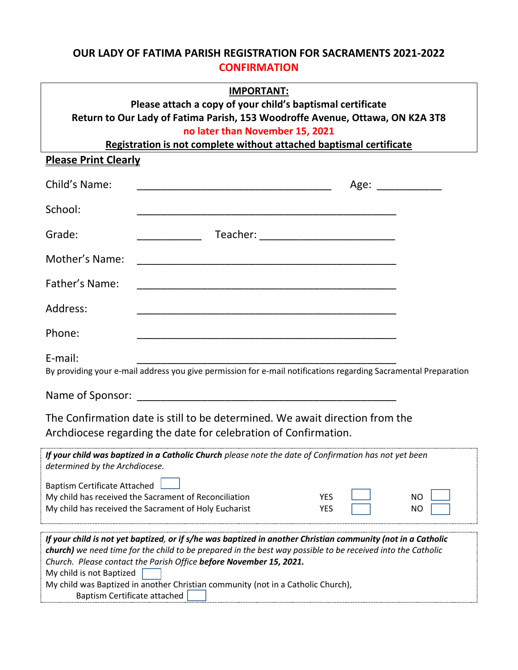#### **OUR LADY OF FATIMA PARISH REGISTRATION FOR SACRAMENTS 2021-2022 CONFIRMATION**

| <b>IMPORTANT:</b><br>Please attach a copy of your child's baptismal certificate<br>Return to Our Lady of Fatima Parish, 153 Woodroffe Avenue, Ottawa, ON K2A 3T8<br>no later than November 15, 2021<br>Registration is not complete without attached baptismal certificate                                                                                                                                                                        |  |
|---------------------------------------------------------------------------------------------------------------------------------------------------------------------------------------------------------------------------------------------------------------------------------------------------------------------------------------------------------------------------------------------------------------------------------------------------|--|
| <b>Please Print Clearly</b>                                                                                                                                                                                                                                                                                                                                                                                                                       |  |
| Child's Name:<br>Age: ____________                                                                                                                                                                                                                                                                                                                                                                                                                |  |
| School:<br><u> 1999 - Paris III de la contrada de la contrada de la contrada de la contrada de la contrada de la contrada de</u>                                                                                                                                                                                                                                                                                                                  |  |
| Grade:<br>________________ Teacher: ________________________________                                                                                                                                                                                                                                                                                                                                                                              |  |
| Mother's Name:                                                                                                                                                                                                                                                                                                                                                                                                                                    |  |
| Father's Name:                                                                                                                                                                                                                                                                                                                                                                                                                                    |  |
| Address:                                                                                                                                                                                                                                                                                                                                                                                                                                          |  |
| Phone:                                                                                                                                                                                                                                                                                                                                                                                                                                            |  |
| E-mail:<br>By providing your e-mail address you give permission for e-mail notifications regarding Sacramental Preparation                                                                                                                                                                                                                                                                                                                        |  |
|                                                                                                                                                                                                                                                                                                                                                                                                                                                   |  |
| The Confirmation date is still to be determined. We await direction from the<br>Archdiocese regarding the date for celebration of Confirmation.                                                                                                                                                                                                                                                                                                   |  |
| If your child was baptized in a Catholic Church please note the date of Confirmation has not yet been<br>determined by the Archdiocese.                                                                                                                                                                                                                                                                                                           |  |
| <b>Baptism Certificate Attached</b><br>My child has received the Sacrament of Reconciliation<br><b>YES</b><br>NΟ<br>My child has received the Sacrament of Holy Eucharist<br><b>YES</b><br>NO                                                                                                                                                                                                                                                     |  |
| If your child is not yet baptized, or if s/he was baptized in another Christian community (not in a Catholic<br>church) we need time for the child to be prepared in the best way possible to be received into the Catholic<br>Church. Please contact the Parish Office before November 15, 2021.<br>My child is not Baptized<br>My child was Baptized in another Christian community (not in a Catholic Church),<br>Baptism Certificate attached |  |